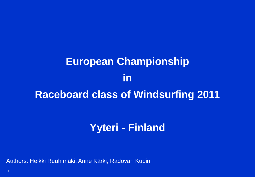# **European Championship in Raceboard class of Windsurfing 2011**

# **Yyteri - Finland**

Authors: Heikki Ruuhimäki, Anne Kärki, Radovan Kubin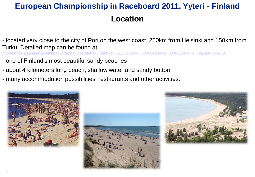## **European Championship in Raceboard 2011, Yyteri - Finland Location**

- located very close to the city of Pori on the west coast, 250km from Helsinki and 150km from Turku. Detailed map can be found at:

tehaku.html?cx=3212395&cv=6837661&scale=800000&tool=siirra&lang=en-GB

- one of Finland's most beautiful sandy beaches
- about 4 kilometers long beach, shallow water and sandy bottom
- many accommodation possibilities, restaurants and other activities.





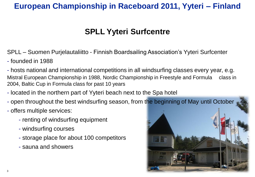## **European Championship in Raceboard 2011, Yyteri – Finland**

## **SPLL Yyteri Surfcentre**

SPLL – Suomen Purjelautaliitto - Finnish Boardsailing Association's Yyteri Surfcenter

- founded in 1988

- hosts national and international competitions in all windsurfing classes every year, e.g. Mistral European Championship in 1988, Nordic Championship in Freestyle and Formula class in 2004, Baltic Cup in Formula class for past 10 years

- located in the northern part of Yyteri beach next to the Spa hotel
- open throughout the best windsurfing season, from the beginning of May until October
- offers multiple services:
	- renting of windsurfing equipment
	- windsurfing courses
	- storage place for about 100 competitors
	- sauna and showers

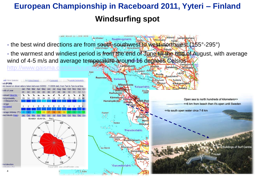# **European Championship in Raceboard 2011, Yyteri – Finland Windsurfing spot**

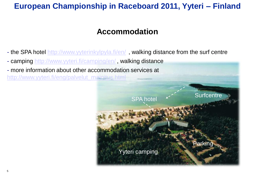## **European Championship in Raceboard 2011, Yyteri – Finland**

#### **Accommodation**

- the SPA hotel<http://www.yyterinkylpyla.fi/en/>, walking distance from the surf centre
- camping<http://www.yyteri.fi/camping/en/> , walking distance
- more information about other accommodation services at [http://www.yyteri.fi/eng/palvelut\\_majoitus.html](http://www.yyteri.fi/eng/palvelut_majoitus.html)

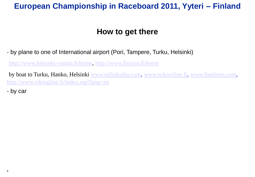#### **European Championship in Raceboard 2011, Yyteri – Finland**

#### **How to get there**

- by plane to one of International airport (Pori, Tampere, Turku, Helsinki)

<http://www.helsinki-vantaa.fi/home>, <http://www.finavia.fi/home>

by boat to Turku, Hanko, Helsinki [www.tallinksilja.com](http://www.tallinksilja.com/), [www.eckeroline.fi,](http://www.eckeroline.fi/) [www.finnlines.com,](http://www.finnlines.com/) <http://www.vikingline.fi/index.asp?lang=en>

- by car